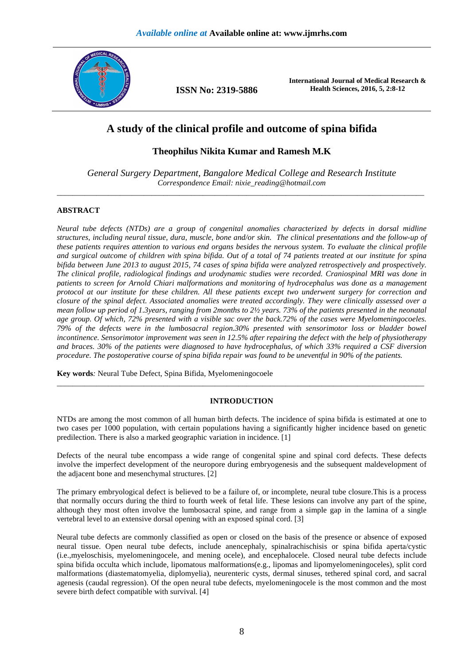

**ISSN No: 2319-5886** 

**International Journal of Medical Research & Health Sciences, 2016, 5, 2:8-12** 

# **A study of the clinical profile and outcome of spina bifida**

**Theophilus Nikita Kumar and Ramesh M.K** 

*General Surgery Department, Bangalore Medical College and Research Institute Correspondence Email: nixie\_reading@hotmail.com*  \_\_\_\_\_\_\_\_\_\_\_\_\_\_\_\_\_\_\_\_\_\_\_\_\_\_\_\_\_\_\_\_\_\_\_\_\_\_\_\_\_\_\_\_\_\_\_\_\_\_\_\_\_\_\_\_\_\_\_\_\_\_\_\_\_\_\_\_\_\_\_\_\_\_\_\_\_\_\_\_\_\_\_\_\_\_\_\_\_\_\_\_\_

# **ABSTRACT**

*Neural tube defects (NTDs) are a group of congenital anomalies characterized by defects in dorsal midline structures, including neural tissue, dura, muscle, bone and/or skin. The clinical presentations and the follow-up of these patients requires attention to various end organs besides the nervous system. To evaluate the clinical profile and surgical outcome of children with spina bifida. Out of a total of 74 patients treated at our institute for spina bifida between June 2013 to august 2015, 74 cases of spina bifida were analyzed retrospectively and prospectively. The clinical profile, radiological findings and urodynamic studies were recorded. Craniospinal MRI was done in patients to screen for Arnold Chiari malformations and monitoring of hydrocephalus was done as a management protocol at our institute for these children. All these patients except two underwent surgery for correction and closure of the spinal defect. Associated anomalies were treated accordingly. They were clinically assessed over a mean follow up period of 1.3years, ranging from 2months to 2½ years. 73% of the patients presented in the neonatal age group. Of which, 72% presented with a visible sac over the back.72% of the cases were Myelomeningocoeles. 79% of the defects were in the lumbosacral region.30% presented with sensorimotor loss or bladder bowel incontinence. Sensorimotor improvement was seen in 12.5% after repairing the defect with the help of physiotherapy and braces. 30% of the patients were diagnosed to have hydrocephalus, of which 33% required a CSF diversion procedure. The postoperative course of spina bifida repair was found to be uneventful in 90% of the patients.* 

**Key words***:* Neural Tube Defect, Spina Bifida, Myelomeningocoele

# **INTRODUCTION**

\_\_\_\_\_\_\_\_\_\_\_\_\_\_\_\_\_\_\_\_\_\_\_\_\_\_\_\_\_\_\_\_\_\_\_\_\_\_\_\_\_\_\_\_\_\_\_\_\_\_\_\_\_\_\_\_\_\_\_\_\_\_\_\_\_\_\_\_\_\_\_\_\_\_\_\_\_\_\_\_\_\_\_\_\_\_\_\_\_\_\_\_\_

NTDs are among the most common of all human birth defects. The incidence of spina bifida is estimated at one to two cases per 1000 population, with certain populations having a significantly higher incidence based on genetic predilection. There is also a marked geographic variation in incidence. [1]

Defects of the neural tube encompass a wide range of congenital spine and spinal cord defects. These defects involve the imperfect development of the neuropore during embryogenesis and the subsequent maldevelopment of the adjacent bone and mesenchymal structures. [2]

The primary embryological defect is believed to be a failure of, or incomplete, neural tube closure.This is a process that normally occurs during the third to fourth week of fetal life. These lesions can involve any part of the spine, although they most often involve the lumbosacral spine, and range from a simple gap in the lamina of a single vertebral level to an extensive dorsal opening with an exposed spinal cord. [3]

Neural tube defects are commonly classified as open or closed on the basis of the presence or absence of exposed neural tissue. Open neural tube defects, include anencephaly, spinalrachischisis or spina bifida aperta/cystic (i.e.,myeloschisis, myelomeningocele, and mening ocele), and encephalocele. Closed neural tube defects include spina bifida occulta which include, lipomatous malformations(e.g., lipomas and lipomyelomeningoceles), split cord malformations (diastematomyelia, diplomyelia), neurenteric cysts, dermal sinuses, tethered spinal cord, and sacral agenesis (caudal regression). Of the open neural tube defects, myelomeningocele is the most common and the most severe birth defect compatible with survival. [4]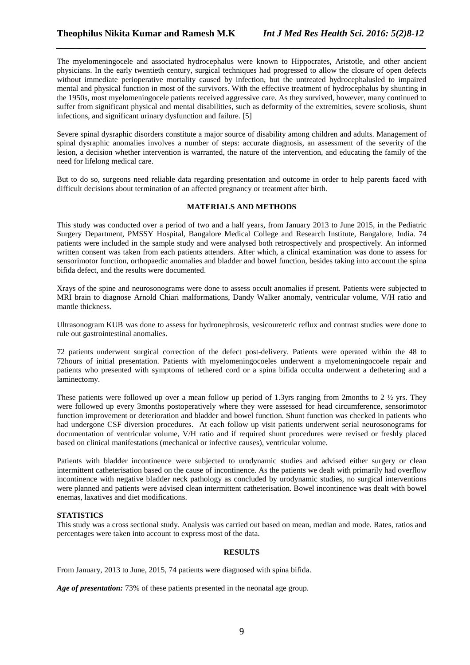The myelomeningocele and associated hydrocephalus were known to Hippocrates, Aristotle, and other ancient physicians. In the early twentieth century, surgical techniques had progressed to allow the closure of open defects without immediate perioperative mortality caused by infection, but the untreated hydrocephalusled to impaired mental and physical function in most of the survivors. With the effective treatment of hydrocephalus by shunting in the 1950s, most myelomeningocele patients received aggressive care. As they survived, however, many continued to suffer from significant physical and mental disabilities, such as deformity of the extremities, severe scoliosis, shunt infections, and significant urinary dysfunction and failure. [5]

*\_\_\_\_\_\_\_\_\_\_\_\_\_\_\_\_\_\_\_\_\_\_\_\_\_\_\_\_\_\_\_\_\_\_\_\_\_\_\_\_\_\_\_\_\_\_\_\_\_\_\_\_\_\_\_\_\_\_\_\_\_\_\_\_\_\_\_\_\_\_\_\_\_\_\_\_\_\_*

Severe spinal dysraphic disorders constitute a major source of disability among children and adults. Management of spinal dysraphic anomalies involves a number of steps: accurate diagnosis, an assessment of the severity of the lesion, a decision whether intervention is warranted, the nature of the intervention, and educating the family of the need for lifelong medical care.

But to do so, surgeons need reliable data regarding presentation and outcome in order to help parents faced with difficult decisions about termination of an affected pregnancy or treatment after birth.

## **MATERIALS AND METHODS**

This study was conducted over a period of two and a half years, from January 2013 to June 2015, in the Pediatric Surgery Department, PMSSY Hospital, Bangalore Medical College and Research Institute, Bangalore, India. 74 patients were included in the sample study and were analysed both retrospectively and prospectively. An informed written consent was taken from each patients attenders. After which, a clinical examination was done to assess for sensorimotor function, orthopaedic anomalies and bladder and bowel function, besides taking into account the spina bifida defect, and the results were documented.

Xrays of the spine and neurosonograms were done to assess occult anomalies if present. Patients were subjected to MRI brain to diagnose Arnold Chiari malformations, Dandy Walker anomaly, ventricular volume, V/H ratio and mantle thickness.

Ultrasonogram KUB was done to assess for hydronephrosis, vesicoureteric reflux and contrast studies were done to rule out gastrointestinal anomalies.

72 patients underwent surgical correction of the defect post-delivery. Patients were operated within the 48 to 72hours of initial presentation. Patients with myelomeningocoeles underwent a myelomeningocoele repair and patients who presented with symptoms of tethered cord or a spina bifida occulta underwent a dethetering and a laminectomy.

These patients were followed up over a mean follow up period of 1.3yrs ranging from 2months to 2 ½ yrs. They were followed up every 3months postoperatively where they were assessed for head circumference, sensorimotor function improvement or deterioration and bladder and bowel function. Shunt function was checked in patients who had undergone CSF diversion procedures. At each follow up visit patients underwent serial neurosonograms for documentation of ventricular volume, V/H ratio and if required shunt procedures were revised or freshly placed based on clinical manifestations (mechanical or infective causes), ventricular volume.

Patients with bladder incontinence were subjected to urodynamic studies and advised either surgery or clean intermittent catheterisation based on the cause of incontinence. As the patients we dealt with primarily had overflow incontinence with negative bladder neck pathology as concluded by urodynamic studies, no surgical interventions were planned and patients were advised clean intermittent catheterisation. Bowel incontinence was dealt with bowel enemas, laxatives and diet modifications.

## **STATISTICS**

This study was a cross sectional study. Analysis was carried out based on mean, median and mode. Rates, ratios and percentages were taken into account to express most of the data.

## **RESULTS**

From January, 2013 to June, 2015, 74 patients were diagnosed with spina bifida.

*Age of presentation:* 73% of these patients presented in the neonatal age group.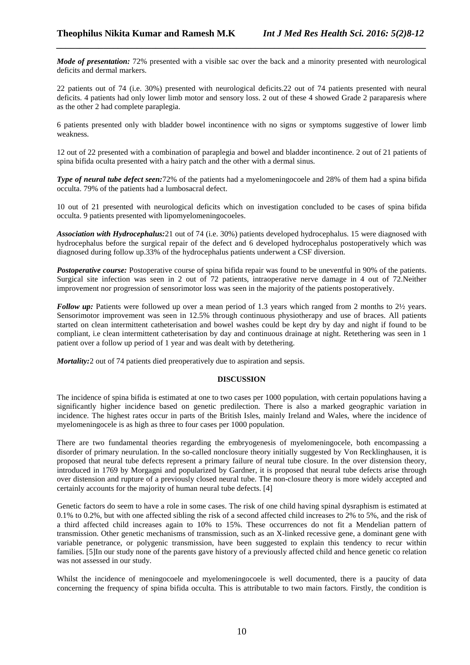*Mode of presentation:* 72% presented with a visible sac over the back and a minority presented with neurological deficits and dermal markers.

*\_\_\_\_\_\_\_\_\_\_\_\_\_\_\_\_\_\_\_\_\_\_\_\_\_\_\_\_\_\_\_\_\_\_\_\_\_\_\_\_\_\_\_\_\_\_\_\_\_\_\_\_\_\_\_\_\_\_\_\_\_\_\_\_\_\_\_\_\_\_\_\_\_\_\_\_\_\_*

22 patients out of 74 (i.e. 30%) presented with neurological deficits.22 out of 74 patients presented with neural deficits. 4 patients had only lower limb motor and sensory loss. 2 out of these 4 showed Grade 2 paraparesis where as the other 2 had complete paraplegia.

6 patients presented only with bladder bowel incontinence with no signs or symptoms suggestive of lower limb weakness.

12 out of 22 presented with a combination of paraplegia and bowel and bladder incontinence. 2 out of 21 patients of spina bifida oculta presented with a hairy patch and the other with a dermal sinus.

*Type of neural tube defect seen:*72% of the patients had a myelomeningocoele and 28% of them had a spina bifida occulta. 79% of the patients had a lumbosacral defect.

10 out of 21 presented with neurological deficits which on investigation concluded to be cases of spina bifida occulta. 9 patients presented with lipomyelomeningocoeles.

*Association with Hydrocephalus:*21 out of 74 (i.e. 30%) patients developed hydrocephalus. 15 were diagnosed with hydrocephalus before the surgical repair of the defect and 6 developed hydrocephalus postoperatively which was diagnosed during follow up.33% of the hydrocephalus patients underwent a CSF diversion.

*Postoperative course:* Postoperative course of spina bifida repair was found to be uneventful in 90% of the patients. Surgical site infection was seen in 2 out of 72 patients, intraoperative nerve damage in 4 out of 72. Neither improvement nor progression of sensorimotor loss was seen in the majority of the patients postoperatively.

*Follow up:* Patients were followed up over a mean period of 1.3 years which ranged from 2 months to 2½ years. Sensorimotor improvement was seen in 12.5% through continuous physiotherapy and use of braces. All patients started on clean intermittent catheterisation and bowel washes could be kept dry by day and night if found to be compliant, i.e clean intermittent catheterisation by day and continuous drainage at night. Retethering was seen in 1 patient over a follow up period of 1 year and was dealt with by detethering.

*Mortality:* 2 out of 74 patients died preoperatively due to aspiration and sepsis.

### **DISCUSSION**

The incidence of spina bifida is estimated at one to two cases per 1000 population, with certain populations having a significantly higher incidence based on genetic predilection. There is also a marked geographic variation in incidence. The highest rates occur in parts of the British Isles, mainly Ireland and Wales, where the incidence of myelomeningocele is as high as three to four cases per 1000 population.

There are two fundamental theories regarding the embryogenesis of myelomeningocele, both encompassing a disorder of primary neurulation. In the so-called nonclosure theory initially suggested by Von Recklinghausen, it is proposed that neural tube defects represent a primary failure of neural tube closure. In the over distension theory, introduced in 1769 by Morgagni and popularized by Gardner, it is proposed that neural tube defects arise through over distension and rupture of a previously closed neural tube. The non-closure theory is more widely accepted and certainly accounts for the majority of human neural tube defects. [4]

Genetic factors do seem to have a role in some cases. The risk of one child having spinal dysraphism is estimated at 0.1% to 0.2%, but with one affected sibling the risk of a second affected child increases to 2% to 5%, and the risk of a third affected child increases again to 10% to 15%. These occurrences do not fit a Mendelian pattern of transmission. Other genetic mechanisms of transmission, such as an X-linked recessive gene, a dominant gene with variable penetrance, or polygenic transmission, have been suggested to explain this tendency to recur within families. [5]In our study none of the parents gave history of a previously affected child and hence genetic co relation was not assessed in our study.

Whilst the incidence of meningocoele and myelomeningocoele is well documented, there is a paucity of data concerning the frequency of spina bifida occulta. This is attributable to two main factors. Firstly, the condition is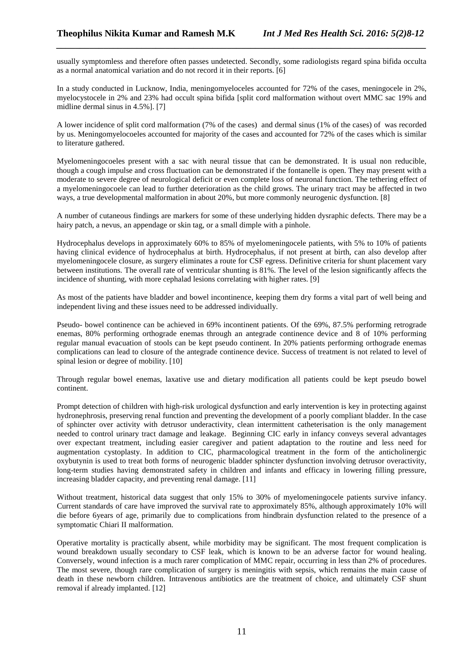usually symptomless and therefore often passes undetected. Secondly, some radiologists regard spina bifida occulta as a normal anatomical variation and do not record it in their reports. [6]

*\_\_\_\_\_\_\_\_\_\_\_\_\_\_\_\_\_\_\_\_\_\_\_\_\_\_\_\_\_\_\_\_\_\_\_\_\_\_\_\_\_\_\_\_\_\_\_\_\_\_\_\_\_\_\_\_\_\_\_\_\_\_\_\_\_\_\_\_\_\_\_\_\_\_\_\_\_\_*

In a study conducted in Lucknow, India, meningomyeloceles accounted for 72% of the cases, meningocele in 2%, myelocystocele in 2% and 23% had occult spina bifida [split cord malformation without overt MMC sac 19% and midline dermal sinus in 4.5%]. [7]

A lower incidence of split cord malformation (7% of the cases) and dermal sinus (1% of the cases) of was recorded by us. Meningomyelocoeles accounted for majority of the cases and accounted for 72% of the cases which is similar to literature gathered.

Myelomeningocoeles present with a sac with neural tissue that can be demonstrated. It is usual non reducible, though a cough impulse and cross fluctuation can be demonstrated if the fontanelle is open. They may present with a moderate to severe degree of neurological deficit or even complete loss of neuronal function. The tethering effect of a myelomeningocoele can lead to further deterioration as the child grows. The urinary tract may be affected in two ways, a true developmental malformation in about 20%, but more commonly neurogenic dysfunction. [8]

A number of cutaneous findings are markers for some of these underlying hidden dysraphic defects. There may be a hairy patch, a nevus, an appendage or skin tag, or a small dimple with a pinhole.

Hydrocephalus develops in approximately 60% to 85% of myelomeningocele patients, with 5% to 10% of patients having clinical evidence of hydrocephalus at birth. Hydrocephalus, if not present at birth, can also develop after myelomeningocele closure, as surgery eliminates a route for CSF egress. Definitive criteria for shunt placement vary between institutions. The overall rate of ventricular shunting is 81%. The level of the lesion significantly affects the incidence of shunting, with more cephalad lesions correlating with higher rates. [9]

As most of the patients have bladder and bowel incontinence, keeping them dry forms a vital part of well being and independent living and these issues need to be addressed individually.

Pseudo- bowel continence can be achieved in 69% incontinent patients. Of the 69%, 87.5% performing retrograde enemas, 80% performing orthograde enemas through an antegrade continence device and 8 of 10% performing regular manual evacuation of stools can be kept pseudo continent. In 20% patients performing orthograde enemas complications can lead to closure of the antegrade continence device. Success of treatment is not related to level of spinal lesion or degree of mobility. [10]

Through regular bowel enemas, laxative use and dietary modification all patients could be kept pseudo bowel continent.

Prompt detection of children with high-risk urological dysfunction and early intervention is key in protecting against hydronephrosis, preserving renal function and preventing the development of a poorly compliant bladder. In the case of sphincter over activity with detrusor underactivity, clean intermittent catheterisation is the only management needed to control urinary tract damage and leakage. Beginning CIC early in infancy conveys several advantages over expectant treatment, including easier caregiver and patient adaptation to the routine and less need for augmentation cystoplasty. In addition to CIC, pharmacological treatment in the form of the anticholinergic oxybutynin is used to treat both forms of neurogenic bladder sphincter dysfunction involving detrusor overactivity, long-term studies having demonstrated safety in children and infants and efficacy in lowering filling pressure, increasing bladder capacity, and preventing renal damage. [11]

Without treatment, historical data suggest that only 15% to 30% of myelomeningocele patients survive infancy. Current standards of care have improved the survival rate to approximately 85%, although approximately 10% will die before 6years of age, primarily due to complications from hindbrain dysfunction related to the presence of a symptomatic Chiari II malformation.

Operative mortality is practically absent, while morbidity may be significant. The most frequent complication is wound breakdown usually secondary to CSF leak, which is known to be an adverse factor for wound healing. Conversely, wound infection is a much rarer complication of MMC repair, occurring in less than 2% of procedures. The most severe, though rare complication of surgery is meningitis with sepsis, which remains the main cause of death in these newborn children. Intravenous antibiotics are the treatment of choice, and ultimately CSF shunt removal if already implanted. [12]